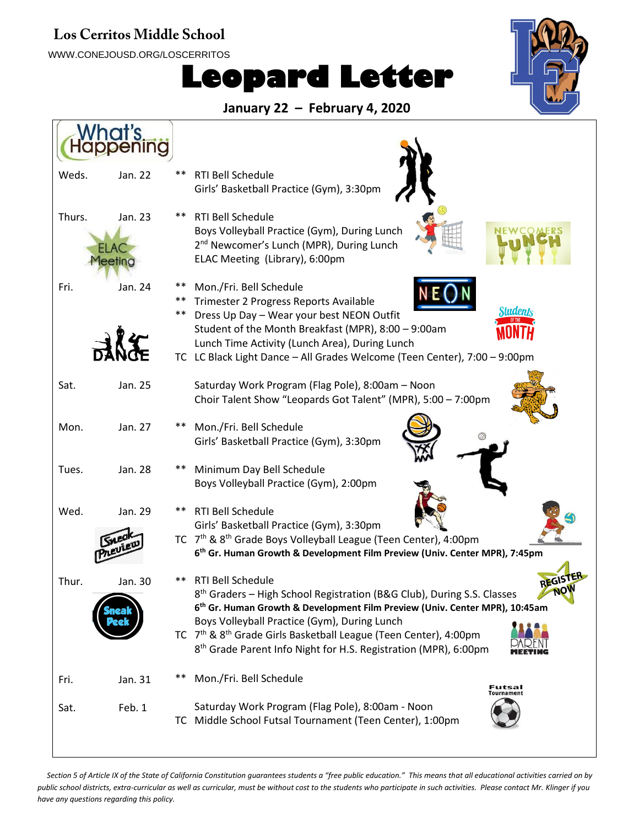## Los Cerritos Middle School

WWW.CONEJOUSD.ORG/LOSCERRITOS

## **Leopard Letter**



**January 22 – February 4, 2020**

| Weds.  | Jan. 22            | ** | <b>RTI Bell Schedule</b><br>Girls' Basketball Practice (Gym), 3:30pm                                                                                                                                                                |
|--------|--------------------|----|-------------------------------------------------------------------------------------------------------------------------------------------------------------------------------------------------------------------------------------|
| Thurs. | Jan. 23<br>leeting |    | <b>RTI Bell Schedule</b><br>Boys Volleyball Practice (Gym), During Lunch<br>2 <sup>nd</sup> Newcomer's Lunch (MPR), During Lunch<br>ELAC Meeting (Library), 6:00pm                                                                  |
| Fri.   | Jan. 24            | ** | Mon./Fri. Bell Schedule<br>Trimester 2 Progress Reports Available<br>Students<br>Dress Up Day - Wear your best NEON Outfit<br>Student of the Month Breakfast (MPR), 8:00 - 9:00am<br>Lunch Time Activity (Lunch Area), During Lunch |
|        |                    |    | TC LC Black Light Dance - All Grades Welcome (Teen Center), 7:00 - 9:00pm                                                                                                                                                           |
| Sat.   | Jan. 25            |    | Saturday Work Program (Flag Pole), 8:00am - Noon<br>Choir Talent Show "Leopards Got Talent" (MPR), 5:00 - 7:00pm                                                                                                                    |
| Mon.   | Jan. 27            |    | Mon./Fri. Bell Schedule<br>Girls' Basketball Practice (Gym), 3:30pm                                                                                                                                                                 |
| Tues.  | Jan. 28            |    | Minimum Day Bell Schedule<br>Boys Volleyball Practice (Gym), 2:00pm                                                                                                                                                                 |
| Wed.   | Jan. 29            |    | <b>RTI Bell Schedule</b><br>Girls' Basketball Practice (Gym), 3:30pm                                                                                                                                                                |
|        |                    |    | TC 7 <sup>th</sup> & 8 <sup>th</sup> Grade Boys Volleyball League (Teen Center), 4:00pm<br>6 <sup>th</sup> Gr. Human Growth & Development Film Preview (Univ. Center MPR), 7:45pm                                                   |
| Thur.  | Jan. 30            | ** | <b>RTI Bell Schedule</b><br>8 <sup>th</sup> Graders - High School Registration (B&G Club), During S.S. Classes<br><b>NV</b><br>6 <sup>th</sup> Gr. Human Growth & Development Film Preview (Univ. Center MPR), 10:45am              |
|        |                    |    | Boys Volleyball Practice (Gym), During Lunch<br>TC 7 <sup>th</sup> & 8 <sup>th</sup> Grade Girls Basketball League (Teen Center), 4:00pm<br>8 <sup>th</sup> Grade Parent Info Night for H.S. Registration (MPR), 6:00pm             |
| Fri.   | Jan. 31            |    | Mon./Fri. Bell Schedule<br>Futsal<br><b>Tournament</b>                                                                                                                                                                              |
| Sat.   | Feb. 1             |    | Saturday Work Program (Flag Pole), 8:00am - Noon<br>TC Middle School Futsal Tournament (Teen Center), 1:00pm                                                                                                                        |

*Section 5 of Article IX of the State of California Constitution guarantees students a "free public education." This means that all educational activities carried on by public school districts, extra-curricular as well as curricular, must be without cost to the students who participate in such activities. Please contact Mr. Klinger if you have any questions regarding this policy.*